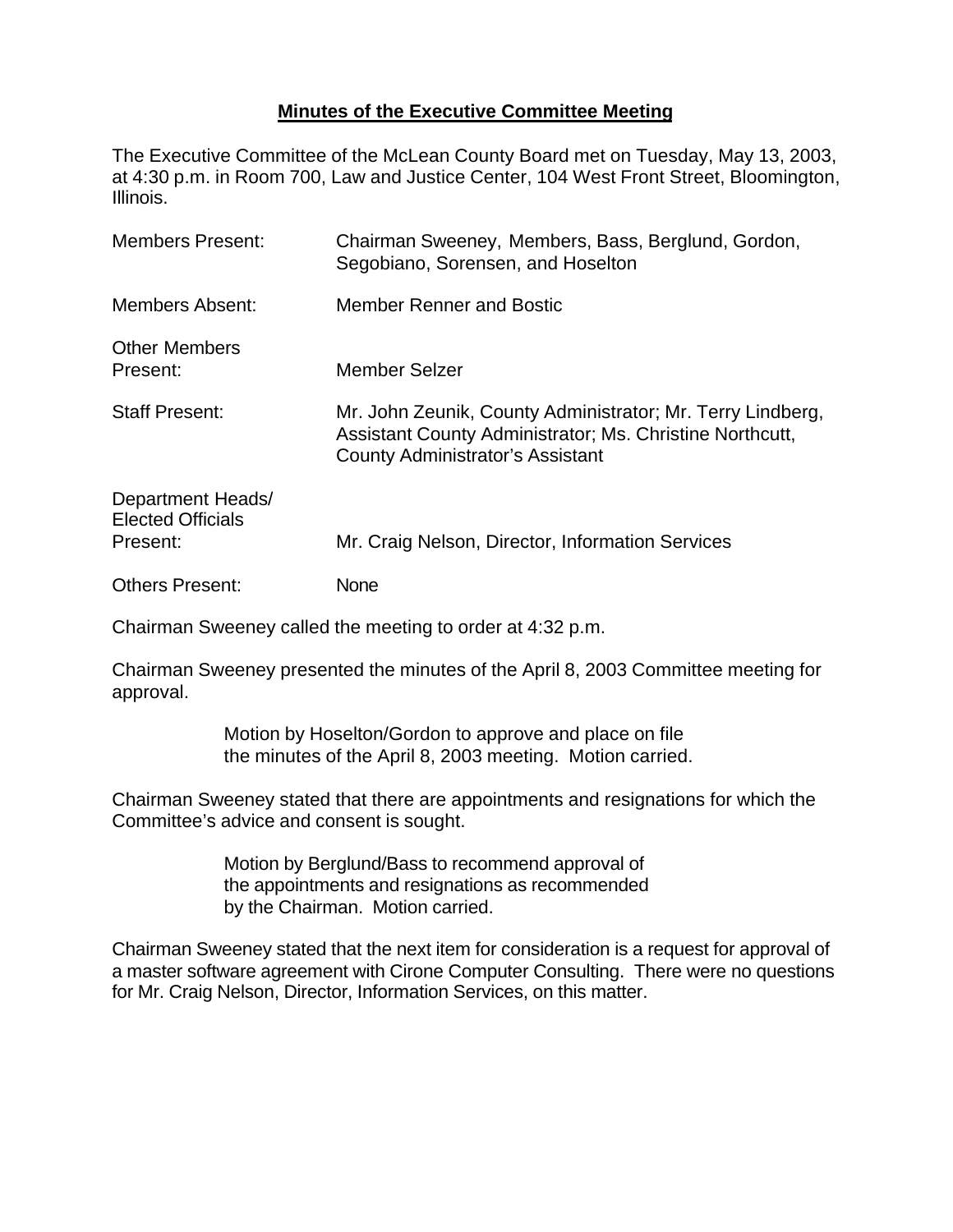## **Minutes of the Executive Committee Meeting**

The Executive Committee of the McLean County Board met on Tuesday, May 13, 2003, at 4:30 p.m. in Room 700, Law and Justice Center, 104 West Front Street, Bloomington, Illinois.

| <b>Members Present:</b>                                   | Chairman Sweeney, Members, Bass, Berglund, Gordon,<br>Segobiano, Sorensen, and Hoselton                                                                           |
|-----------------------------------------------------------|-------------------------------------------------------------------------------------------------------------------------------------------------------------------|
| <b>Members Absent:</b>                                    | Member Renner and Bostic                                                                                                                                          |
| <b>Other Members</b><br>Present:                          | Member Selzer                                                                                                                                                     |
| <b>Staff Present:</b>                                     | Mr. John Zeunik, County Administrator; Mr. Terry Lindberg,<br>Assistant County Administrator; Ms. Christine Northcutt,<br><b>County Administrator's Assistant</b> |
| Department Heads/<br><b>Elected Officials</b><br>Present: | Mr. Craig Nelson, Director, Information Services                                                                                                                  |
| <b>Others Present:</b>                                    | None                                                                                                                                                              |

Chairman Sweeney called the meeting to order at 4:32 p.m.

Chairman Sweeney presented the minutes of the April 8, 2003 Committee meeting for approval.

> Motion by Hoselton/Gordon to approve and place on file the minutes of the April 8, 2003 meeting. Motion carried.

Chairman Sweeney stated that there are appointments and resignations for which the Committee's advice and consent is sought.

> Motion by Berglund/Bass to recommend approval of the appointments and resignations as recommended by the Chairman. Motion carried.

Chairman Sweeney stated that the next item for consideration is a request for approval of a master software agreement with Cirone Computer Consulting. There were no questions for Mr. Craig Nelson, Director, Information Services, on this matter.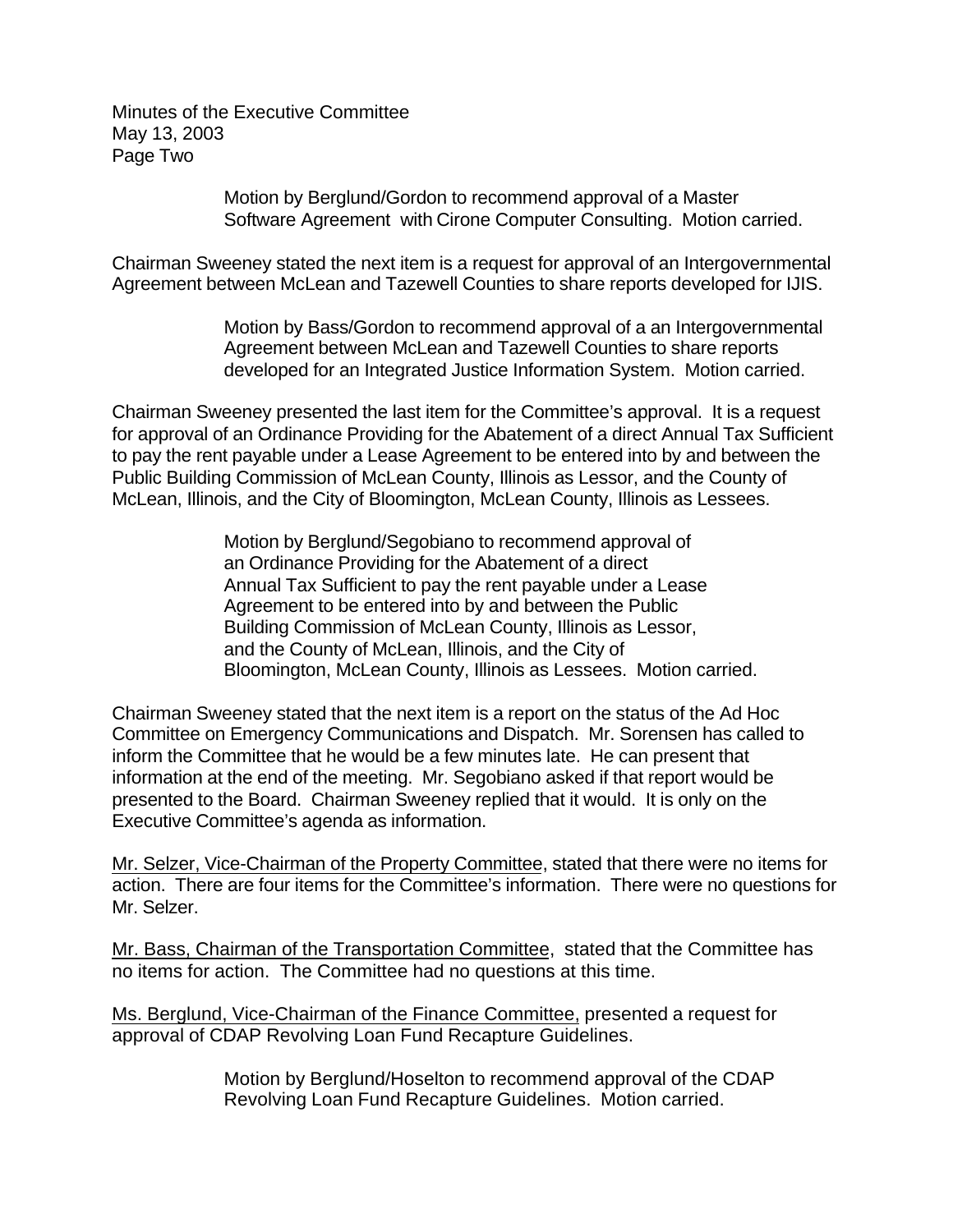Minutes of the Executive Committee May 13, 2003 Page Two

> Motion by Berglund/Gordon to recommend approval of a Master Software Agreement with Cirone Computer Consulting. Motion carried.

Chairman Sweeney stated the next item is a request for approval of an Intergovernmental Agreement between McLean and Tazewell Counties to share reports developed for IJIS.

> Motion by Bass/Gordon to recommend approval of a an Intergovernmental Agreement between McLean and Tazewell Counties to share reports developed for an Integrated Justice Information System. Motion carried.

Chairman Sweeney presented the last item for the Committee's approval. It is a request for approval of an Ordinance Providing for the Abatement of a direct Annual Tax Sufficient to pay the rent payable under a Lease Agreement to be entered into by and between the Public Building Commission of McLean County, Illinois as Lessor, and the County of McLean, Illinois, and the City of Bloomington, McLean County, Illinois as Lessees.

> Motion by Berglund/Segobiano to recommend approval of an Ordinance Providing for the Abatement of a direct Annual Tax Sufficient to pay the rent payable under a Lease Agreement to be entered into by and between the Public Building Commission of McLean County, Illinois as Lessor, and the County of McLean, Illinois, and the City of Bloomington, McLean County, Illinois as Lessees. Motion carried.

Chairman Sweeney stated that the next item is a report on the status of the Ad Hoc Committee on Emergency Communications and Dispatch. Mr. Sorensen has called to inform the Committee that he would be a few minutes late. He can present that information at the end of the meeting. Mr. Segobiano asked if that report would be presented to the Board. Chairman Sweeney replied that it would. It is only on the Executive Committee's agenda as information.

Mr. Selzer, Vice-Chairman of the Property Committee, stated that there were no items for action. There are four items for the Committee's information. There were no questions for Mr. Selzer.

Mr. Bass, Chairman of the Transportation Committee, stated that the Committee has no items for action. The Committee had no questions at this time.

Ms. Berglund, Vice-Chairman of the Finance Committee, presented a request for approval of CDAP Revolving Loan Fund Recapture Guidelines.

> Motion by Berglund/Hoselton to recommend approval of the CDAP Revolving Loan Fund Recapture Guidelines. Motion carried.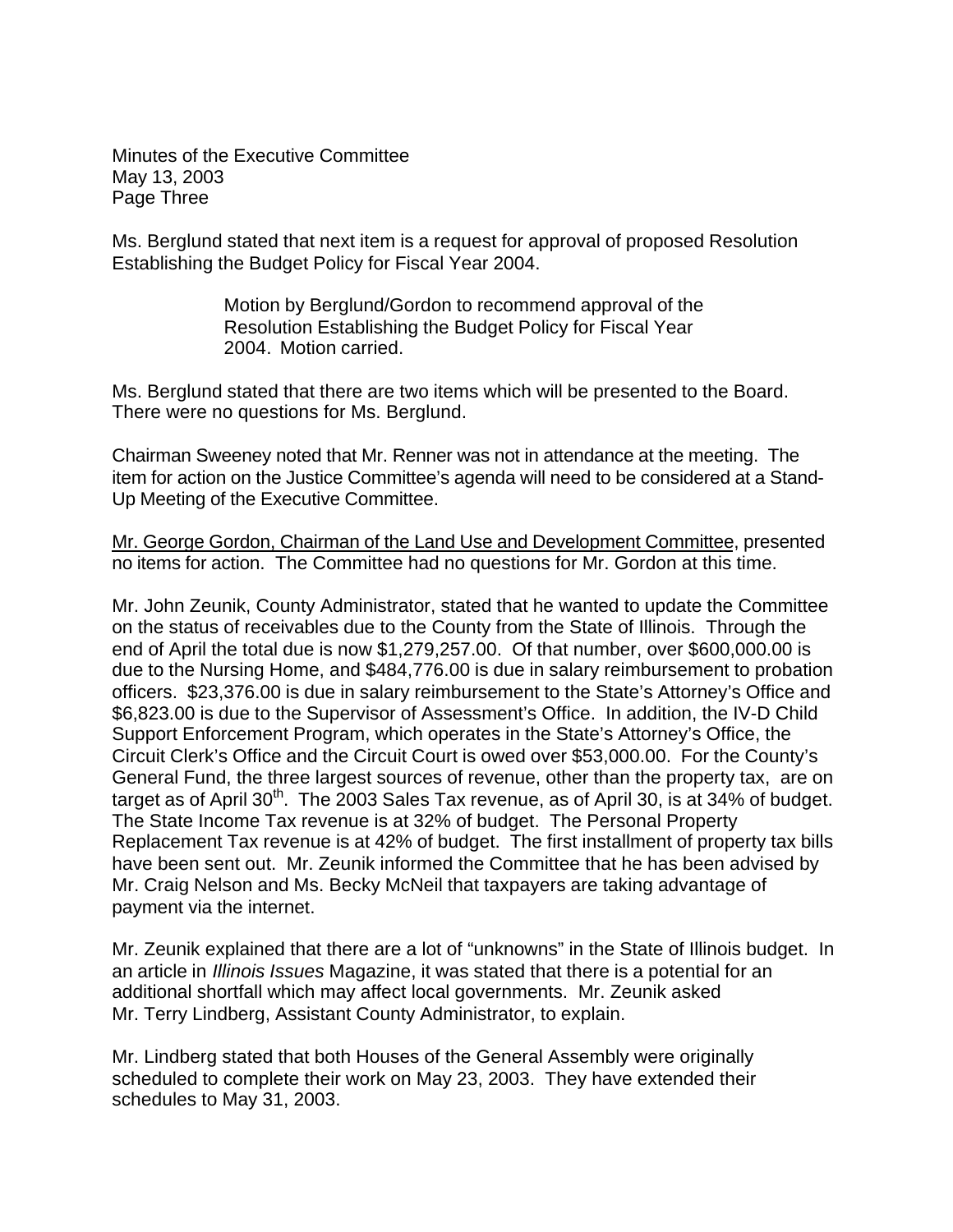Minutes of the Executive Committee May 13, 2003 Page Three

Ms. Berglund stated that next item is a request for approval of proposed Resolution Establishing the Budget Policy for Fiscal Year 2004.

> Motion by Berglund/Gordon to recommend approval of the Resolution Establishing the Budget Policy for Fiscal Year 2004. Motion carried.

Ms. Berglund stated that there are two items which will be presented to the Board. There were no questions for Ms. Berglund.

Chairman Sweeney noted that Mr. Renner was not in attendance at the meeting. The item for action on the Justice Committee's agenda will need to be considered at a Stand-Up Meeting of the Executive Committee.

Mr. George Gordon, Chairman of the Land Use and Development Committee, presented no items for action. The Committee had no questions for Mr. Gordon at this time.

Mr. John Zeunik, County Administrator, stated that he wanted to update the Committee on the status of receivables due to the County from the State of Illinois. Through the end of April the total due is now \$1,279,257.00. Of that number, over \$600,000.00 is due to the Nursing Home, and \$484,776.00 is due in salary reimbursement to probation officers. \$23,376.00 is due in salary reimbursement to the State's Attorney's Office and \$6,823.00 is due to the Supervisor of Assessment's Office. In addition, the IV-D Child Support Enforcement Program, which operates in the State's Attorney's Office, the Circuit Clerk's Office and the Circuit Court is owed over \$53,000.00. For the County's General Fund, the three largest sources of revenue, other than the property tax, are on target as of April  $30<sup>th</sup>$ . The 2003 Sales Tax revenue, as of April 30, is at 34% of budget. The State Income Tax revenue is at 32% of budget. The Personal Property Replacement Tax revenue is at 42% of budget. The first installment of property tax bills have been sent out. Mr. Zeunik informed the Committee that he has been advised by Mr. Craig Nelson and Ms. Becky McNeil that taxpayers are taking advantage of payment via the internet.

Mr. Zeunik explained that there are a lot of "unknowns" in the State of Illinois budget. In an article in *Illinois Issues* Magazine, it was stated that there is a potential for an additional shortfall which may affect local governments. Mr. Zeunik asked Mr. Terry Lindberg, Assistant County Administrator, to explain.

Mr. Lindberg stated that both Houses of the General Assembly were originally scheduled to complete their work on May 23, 2003. They have extended their schedules to May 31, 2003.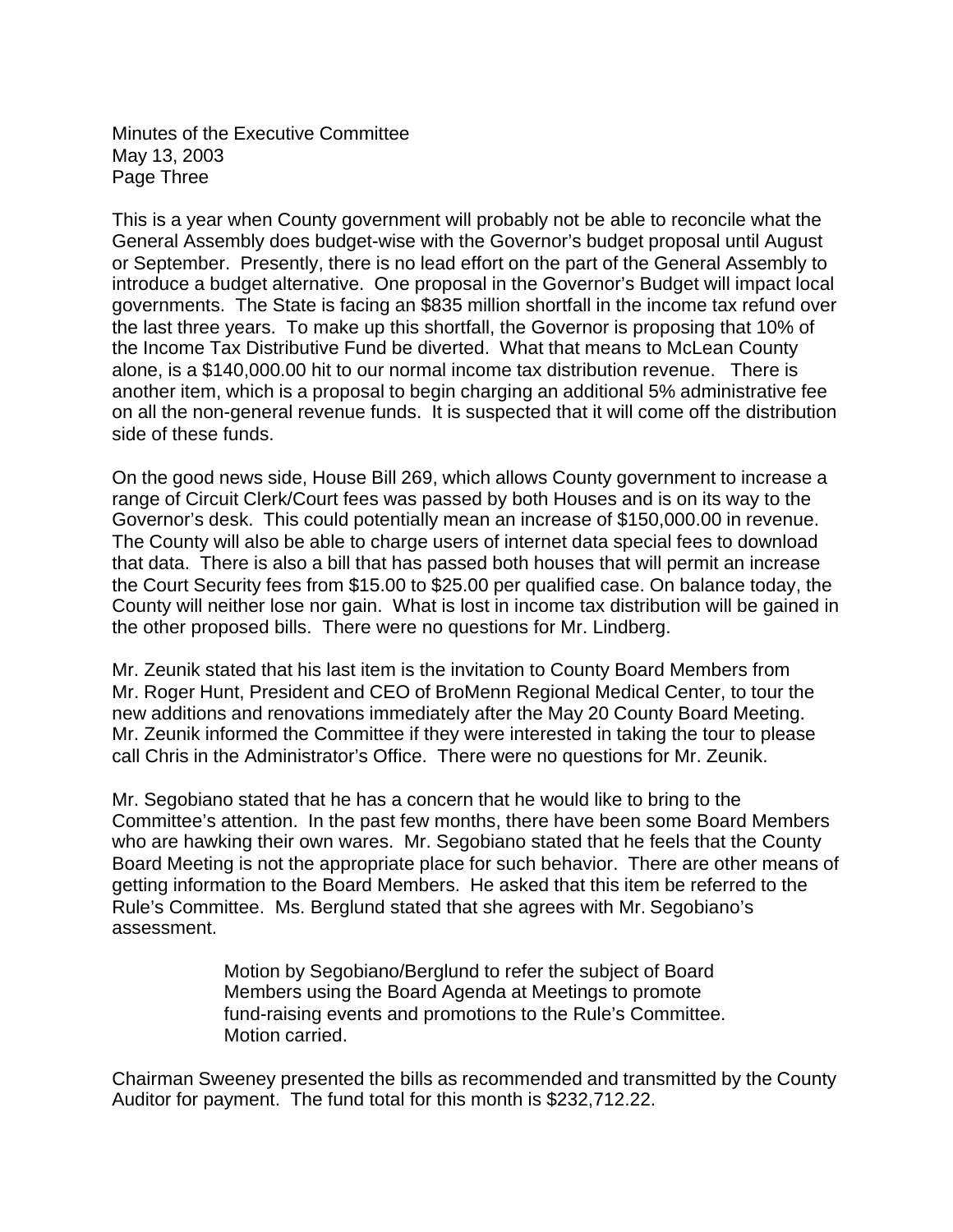Minutes of the Executive Committee May 13, 2003 Page Three

This is a year when County government will probably not be able to reconcile what the General Assembly does budget-wise with the Governor's budget proposal until August or September. Presently, there is no lead effort on the part of the General Assembly to introduce a budget alternative. One proposal in the Governor's Budget will impact local governments. The State is facing an \$835 million shortfall in the income tax refund over the last three years. To make up this shortfall, the Governor is proposing that 10% of the Income Tax Distributive Fund be diverted. What that means to McLean County alone, is a \$140,000.00 hit to our normal income tax distribution revenue. There is another item, which is a proposal to begin charging an additional 5% administrative fee on all the non-general revenue funds. It is suspected that it will come off the distribution side of these funds.

On the good news side, House Bill 269, which allows County government to increase a range of Circuit Clerk/Court fees was passed by both Houses and is on its way to the Governor's desk. This could potentially mean an increase of \$150,000.00 in revenue. The County will also be able to charge users of internet data special fees to download that data. There is also a bill that has passed both houses that will permit an increase the Court Security fees from \$15.00 to \$25.00 per qualified case. On balance today, the County will neither lose nor gain. What is lost in income tax distribution will be gained in the other proposed bills. There were no questions for Mr. Lindberg.

Mr. Zeunik stated that his last item is the invitation to County Board Members from Mr. Roger Hunt, President and CEO of BroMenn Regional Medical Center, to tour the new additions and renovations immediately after the May 20 County Board Meeting. Mr. Zeunik informed the Committee if they were interested in taking the tour to please call Chris in the Administrator's Office. There were no questions for Mr. Zeunik.

Mr. Segobiano stated that he has a concern that he would like to bring to the Committee's attention. In the past few months, there have been some Board Members who are hawking their own wares. Mr. Segobiano stated that he feels that the County Board Meeting is not the appropriate place for such behavior. There are other means of getting information to the Board Members. He asked that this item be referred to the Rule's Committee. Ms. Berglund stated that she agrees with Mr. Segobiano's assessment.

> Motion by Segobiano/Berglund to refer the subject of Board Members using the Board Agenda at Meetings to promote fund-raising events and promotions to the Rule's Committee. Motion carried.

Chairman Sweeney presented the bills as recommended and transmitted by the County Auditor for payment. The fund total for this month is \$232,712.22.